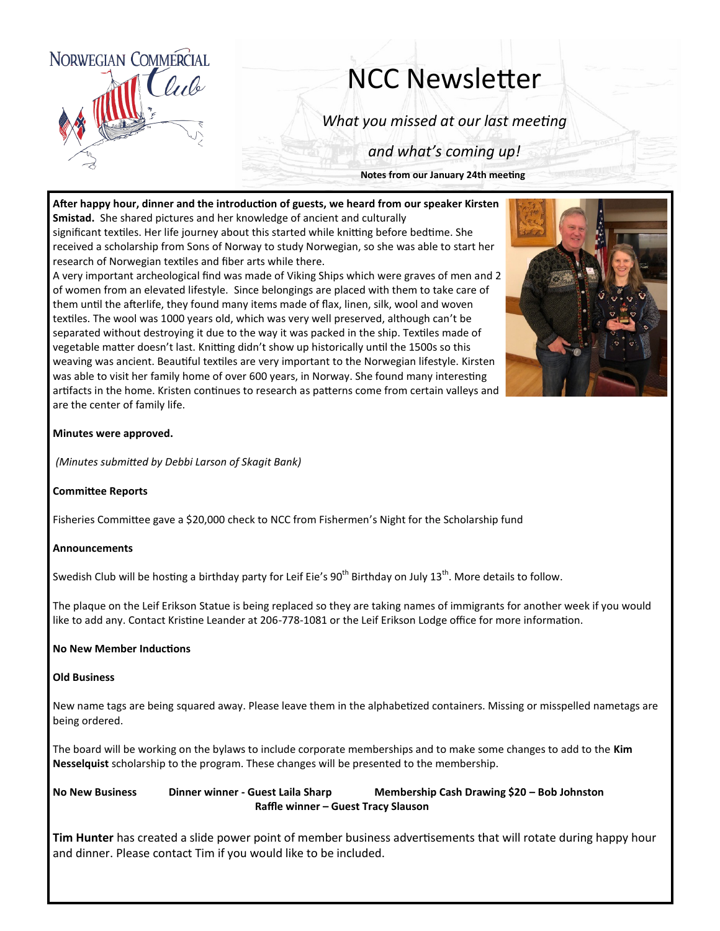

# NCC Newsletter

*What you missed at our last meeting*

*and what's coming up!*

**Notes from our January 24th meeting**

**After happy hour, dinner and the introduction of guests, we heard from our speaker Kirsten Smistad.** She shared pictures and her knowledge of ancient and culturally significant textiles. Her life journey about this started while knitting before bedtime. She received a scholarship from Sons of Norway to study Norwegian, so she was able to start her

research of Norwegian textiles and fiber arts while there. A very important archeological find was made of Viking Ships which were graves of men and 2 of women from an elevated lifestyle. Since belongings are placed with them to take care of them until the afterlife, they found many items made of flax, linen, silk, wool and woven textiles. The wool was 1000 years old, which was very well preserved, although can't be separated without destroying it due to the way it was packed in the ship. Textiles made of vegetable matter doesn't last. Knitting didn't show up historically until the 1500s so this weaving was ancient. Beautiful textiles are very important to the Norwegian lifestyle. Kirsten was able to visit her family home of over 600 years, in Norway. She found many interesting artifacts in the home. Kristen continues to research as patterns come from certain valleys and are the center of family life.



## **Minutes were approved.**

*(Minutes submitted by Debbi Larson of Skagit Bank)*

### **Committee Reports**

Fisheries Committee gave a \$20,000 check to NCC from Fishermen's Night for the Scholarship fund

### **Announcements**

Swedish Club will be hosting a birthday party for Leif Eie's  $90^{th}$  Birthday on July 13<sup>th</sup>. More details to follow.

The plaque on the Leif Erikson Statue is being replaced so they are taking names of immigrants for another week if you would like to add any. Contact Kristine Leander at 206-778-1081 or the Leif Erikson Lodge office for more information.

### **No New Member Inductions**

#### **Old Business**

New name tags are being squared away. Please leave them in the alphabetized containers. Missing or misspelled nametags are being ordered.

The board will be working on the bylaws to include corporate memberships and to make some changes to add to the **Kim Nesselquist** scholarship to the program. These changes will be presented to the membership.

**No New Business Dinner winner - Guest Laila Sharp Membership Cash Drawing \$20 – Bob Johnston Raffle winner – Guest Tracy Slauson** 

**Tim Hunter** has created a slide power point of member business advertisements that will rotate during happy hour and dinner. Please contact Tim if you would like to be included.